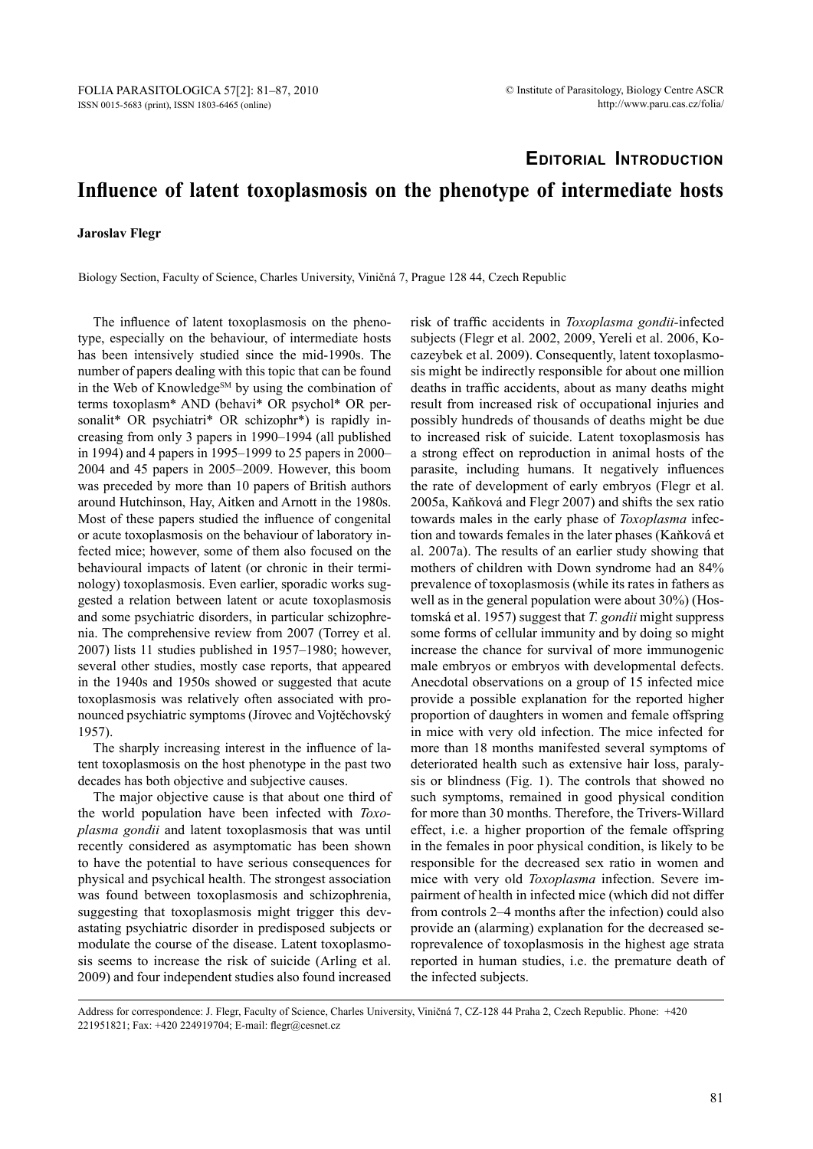## **Editorial Introduction**

## **Influence of latent toxoplasmosis on the phenotype of intermediate hosts**

## **Jaroslav Flegr**

Biology Section, Faculty of Science, Charles University, Viničná 7, Prague 128 44, Czech Republic

The influence of latent toxoplasmosis on the phenotype, especially on the behaviour, of intermediate hosts has been intensively studied since the mid-1990s. The number of papers dealing with this topic that can be found in the Web of Knowledge<sup>SM</sup> by using the combination of terms toxoplasm\* AND (behavi\* OR psychol\* OR personalit<sup>\*</sup> OR psychiatri<sup>\*</sup> OR schizophr<sup>\*</sup>) is rapidly increasing from only 3 papers in 1990–1994 (all published in 1994) and 4 papers in 1995–1999 to 25 papers in 2000– 2004 and 45 papers in 2005–2009. However, this boom was preceded by more than 10 papers of British authors around Hutchinson, Hay, Aitken and Arnott in the 1980s. Most of these papers studied the influence of congenital or acute toxoplasmosis on the behaviour of laboratory infected mice; however, some of them also focused on the behavioural impacts of latent (or chronic in their terminology) toxoplasmosis. Even earlier, sporadic works suggested a relation between latent or acute toxoplasmosis and some psychiatric disorders, in particular schizophrenia. The comprehensive review from 2007 (Torrey et al. 2007) lists 11 studies published in 1957–1980; however, several other studies, mostly case reports, that appeared in the 1940s and 1950s showed or suggested that acute toxoplasmosis was relatively often associated with pronounced psychiatric symptoms (Jírovec and Vojtěchovský 1957).

The sharply increasing interest in the influence of latent toxoplasmosis on the host phenotype in the past two decades has both objective and subjective causes.

The major objective cause is that about one third of the world population have been infected with *Toxoplasma gondii* and latent toxoplasmosis that was until recently considered as asymptomatic has been shown to have the potential to have serious consequences for physical and psychical health. The strongest association was found between toxoplasmosis and schizophrenia, suggesting that toxoplasmosis might trigger this devastating psychiatric disorder in predisposed subjects or modulate the course of the disease. Latent toxoplasmosis seems to increase the risk of suicide (Arling et al. 2009) and four independent studies also found increased

risk of traffic accidents in *Toxoplasma gondii-*infected subjects (Flegr et al. 2002, 2009, Yereli et al. 2006, Kocazeybek et al. 2009). Consequently, latent toxoplasmosis might be indirectly responsible for about one million deaths in traffic accidents, about as many deaths might result from increased risk of occupational injuries and possibly hundreds of thousands of deaths might be due to increased risk of suicide. Latent toxoplasmosis has a strong effect on reproduction in animal hosts of the parasite, including humans. It negatively influences the rate of development of early embryos (Flegr et al. 2005a, Kaňková and Flegr 2007) and shifts the sex ratio towards males in the early phase of *Toxoplasma* infection and towards females in the later phases (Kaňková et al. 2007a). The results of an earlier study showing that mothers of children with Down syndrome had an 84% prevalence of toxoplasmosis (while its rates in fathers as well as in the general population were about 30%) (Hostomská et al. 1957) suggest that *T. gondii* might suppress some forms of cellular immunity and by doing so might increase the chance for survival of more immunogenic male embryos or embryos with developmental defects. Anecdotal observations on a group of 15 infected mice provide a possible explanation for the reported higher proportion of daughters in women and female offspring in mice with very old infection. The mice infected for more than 18 months manifested several symptoms of deteriorated health such as extensive hair loss, paralysis or blindness (Fig. 1). The controls that showed no such symptoms, remained in good physical condition for more than 30 months. Therefore, the Trivers-Willard effect, i.e. a higher proportion of the female offspring in the females in poor physical condition, is likely to be responsible for the decreased sex ratio in women and mice with very old *Toxoplasma* infection. Severe impairment of health in infected mice (which did not differ from controls 2–4 months after the infection) could also provide an (alarming) explanation for the decreased seroprevalence of toxoplasmosis in the highest age strata reported in human studies, i.e. the premature death of the infected subjects.

Address for correspondence: J. Flegr, Faculty of Science, Charles University, Viničná 7, CZ-128 44 Praha 2, Czech Republic. Phone: +420 221951821; Fax: +420 224919704; E-mail: flegr@cesnet.cz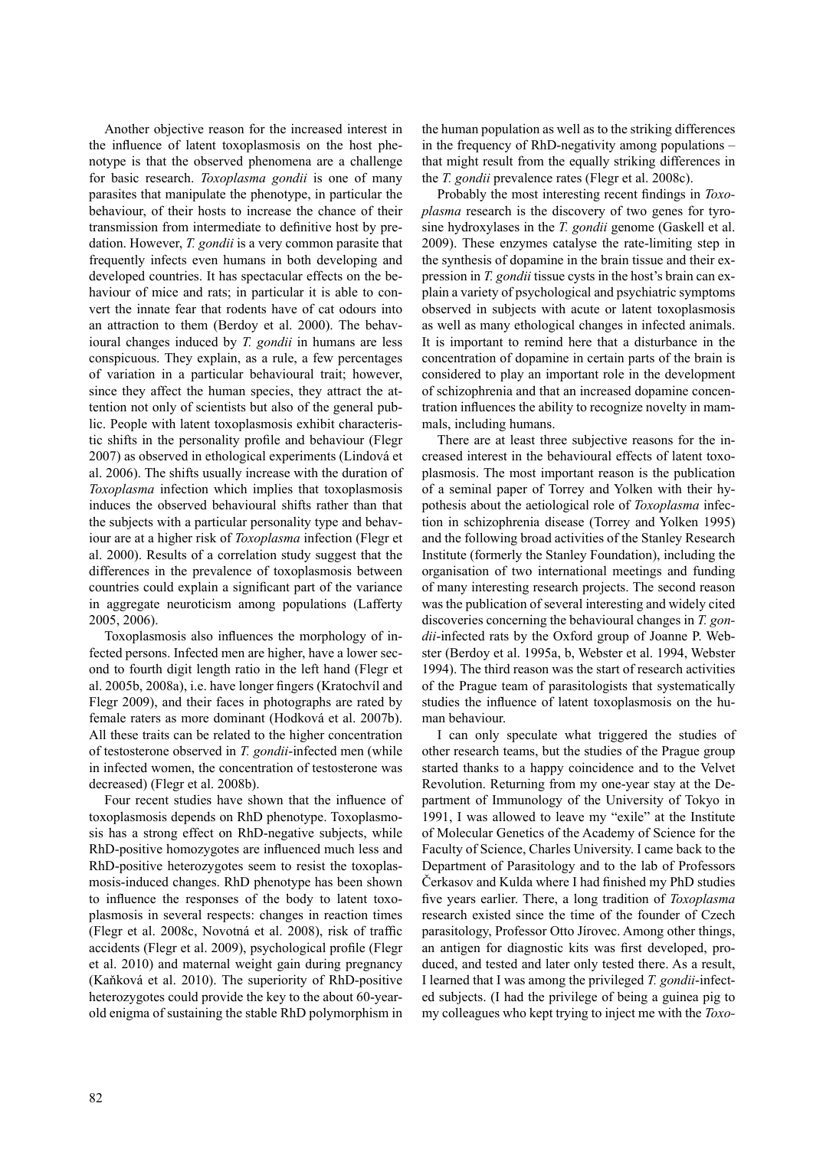Another objective reason for the increased interest in the influence of latent toxoplasmosis on the host phenotype is that the observed phenomena are a challenge for basic research. *Toxoplasma gondii* is one of many parasites that manipulate the phenotype, in particular the behaviour, of their hosts to increase the chance of their transmission from intermediate to definitive host by predation. However, *T. gondii* is a very common parasite that frequently infects even humans in both developing and developed countries. It has spectacular effects on the behaviour of mice and rats; in particular it is able to convert the innate fear that rodents have of cat odours into an attraction to them (Berdoy et al. 2000). The behavioural changes induced by *T. gondii* in humans are less conspicuous. They explain, as a rule, a few percentages of variation in a particular behavioural trait; however, since they affect the human species, they attract the attention not only of scientists but also of the general public. People with latent toxoplasmosis exhibit characteristic shifts in the personality profile and behaviour (Flegr 2007) as observed in ethological experiments (Lindová et al. 2006). The shifts usually increase with the duration of *Toxoplasma* infection which implies that toxoplasmosis induces the observed behavioural shifts rather than that the subjects with a particular personality type and behaviour are at a higher risk of *Toxoplasma* infection (Flegr et al. 2000). Results of a correlation study suggest that the differences in the prevalence of toxoplasmosis between countries could explain a significant part of the variance in aggregate neuroticism among populations (Lafferty 2005, 2006).

Toxoplasmosis also influences the morphology of infected persons. Infected men are higher, have a lower second to fourth digit length ratio in the left hand (Flegr et al. 2005b, 2008a), i.e. have longer fingers (Kratochvíl and Flegr 2009), and their faces in photographs are rated by female raters as more dominant (Hodková et al. 2007b). All these traits can be related to the higher concentration of testosterone observed in *T. gondii*-infected men (while in infected women, the concentration of testosterone was decreased) (Flegr et al. 2008b).

Four recent studies have shown that the influence of toxoplasmosis depends on RhD phenotype. Toxoplasmosis has a strong effect on RhD-negative subjects, while RhD-positive homozygotes are influenced much less and RhD-positive heterozygotes seem to resist the toxoplasmosis-induced changes. RhD phenotype has been shown to influence the responses of the body to latent toxoplasmosis in several respects: changes in reaction times (Flegr et al. 2008c, Novotná et al. 2008), risk of traffic accidents (Flegr et al. 2009), psychological profile (Flegr et al. 2010) and maternal weight gain during pregnancy (Kaňková et al. 2010). The superiority of RhD-positive heterozygotes could provide the key to the about 60-yearold enigma of sustaining the stable RhD polymorphism in

the human population as well as to the striking differences in the frequency of RhD-negativity among populations – that might result from the equally striking differences in the *T. gondii* prevalence rates (Flegr et al. 2008c).

Probably the most interesting recent findings in *Toxoplasma* research is the discovery of two genes for tyrosine hydroxylases in the *T. gondii* genome (Gaskell et al. 2009). These enzymes catalyse the rate-limiting step in the synthesis of dopamine in the brain tissue and their expression in *T. gondii* tissue cysts in the host's brain can explain a variety of psychological and psychiatric symptoms observed in subjects with acute or latent toxoplasmosis as well as many ethological changes in infected animals. It is important to remind here that a disturbance in the concentration of dopamine in certain parts of the brain is considered to play an important role in the development of schizophrenia and that an increased dopamine concentration influences the ability to recognize novelty in mammals, including humans.

There are at least three subjective reasons for the increased interest in the behavioural effects of latent toxoplasmosis. The most important reason is the publication of a seminal paper of Torrey and Yolken with their hypothesis about the aetiological role of *Toxoplasma* infection in schizophrenia disease (Torrey and Yolken 1995) and the following broad activities of the Stanley Research Institute (formerly the Stanley Foundation), including the organisation of two international meetings and funding of many interesting research projects. The second reason was the publication of several interesting and widely cited discoveries concerning the behavioural changes in *T. gondii*-infected rats by the Oxford group of Joanne P. Webster (Berdoy et al. 1995a, b, Webster et al. 1994, Webster 1994). The third reason was the start of research activities of the Prague team of parasitologists that systematically studies the influence of latent toxoplasmosis on the human behaviour.

I can only speculate what triggered the studies of other research teams, but the studies of the Prague group started thanks to a happy coincidence and to the Velvet Revolution. Returning from my one-year stay at the Department of Immunology of the University of Tokyo in 1991, I was allowed to leave my "exile" at the Institute of Molecular Genetics of the Academy of Science for the Faculty of Science, Charles University. I came back to the Department of Parasitology and to the lab of Professors Čerkasov and Kulda where I had finished my PhD studies five years earlier. There, a long tradition of *Toxoplasma* research existed since the time of the founder of Czech parasitology, Professor Otto Jírovec. Among other things, an antigen for diagnostic kits was first developed, produced, and tested and later only tested there. As a result, I learned that I was among the privileged *T. gondii*-infected subjects. (I had the privilege of being a guinea pig to my colleagues who kept trying to inject me with the *Toxo-*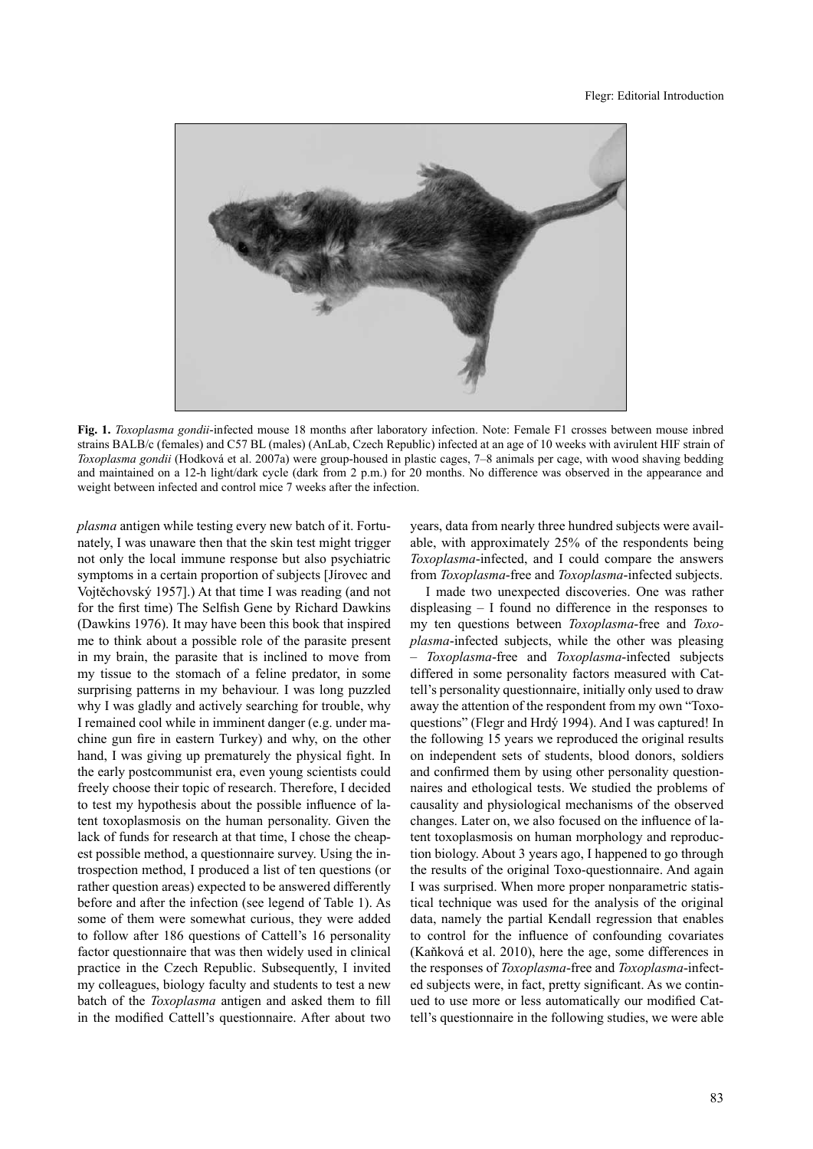

**Fig. 1.** *Toxoplasma gondii*-infected mouse 18 months after laboratory infection. Note: Female F1 crosses between mouse inbred strains BALB/c (females) and C57 BL (males) (AnLab, Czech Republic) infected at an age of 10 weeks with avirulent HIF strain of *Toxoplasma gondii* (Hodková et al. 2007a) were group-housed in plastic cages, 7–8 animals per cage, with wood shaving bedding and maintained on a 12-h light/dark cycle (dark from 2 p.m.) for 20 months. No difference was observed in the appearance and weight between infected and control mice 7 weeks after the infection.

*plasma* antigen while testing every new batch of it. Fortunately, I was unaware then that the skin test might trigger not only the local immune response but also psychiatric symptoms in a certain proportion of subjects [Jírovec and Vojtěchovský 1957].) At that time I was reading (and not for the first time) The Selfish Gene by Richard Dawkins (Dawkins 1976). It may have been this book that inspired me to think about a possible role of the parasite present in my brain, the parasite that is inclined to move from my tissue to the stomach of a feline predator, in some surprising patterns in my behaviour. I was long puzzled why I was gladly and actively searching for trouble, why I remained cool while in imminent danger (e.g. under machine gun fire in eastern Turkey) and why, on the other hand, I was giving up prematurely the physical fight. In the early postcommunist era, even young scientists could freely choose their topic of research. Therefore, I decided to test my hypothesis about the possible influence of latent toxoplasmosis on the human personality. Given the lack of funds for research at that time, I chose the cheapest possible method, a questionnaire survey. Using the introspection method, I produced a list of ten questions (or rather question areas) expected to be answered differently before and after the infection (see legend of Table 1). As some of them were somewhat curious, they were added to follow after 186 questions of Cattell's 16 personality factor questionnaire that was then widely used in clinical practice in the Czech Republic. Subsequently, I invited my colleagues, biology faculty and students to test a new batch of the *Toxoplasma* antigen and asked them to fill in the modified Cattell's questionnaire. After about two years, data from nearly three hundred subjects were available, with approximately 25% of the respondents being *Toxoplasma*-infected, and I could compare the answers from *Toxoplasma*-free and *Toxoplasma*-infected subjects.

I made two unexpected discoveries. One was rather displeasing – I found no difference in the responses to my ten questions between *Toxoplasma*-free and *Toxoplasma*-infected subjects, while the other was pleasing – *Toxoplasma*-free and *Toxoplasma*-infected subjects differed in some personality factors measured with Cattell's personality questionnaire, initially only used to draw away the attention of the respondent from my own "Toxoquestions" (Flegr and Hrdý 1994). And I was captured! In the following 15 years we reproduced the original results on independent sets of students, blood donors, soldiers and confirmed them by using other personality questionnaires and ethological tests. We studied the problems of causality and physiological mechanisms of the observed changes. Later on, we also focused on the influence of latent toxoplasmosis on human morphology and reproduction biology. About 3 years ago, I happened to go through the results of the original Toxo-questionnaire. And again I was surprised. When more proper nonparametric statistical technique was used for the analysis of the original data, namely the partial Kendall regression that enables to control for the influence of confounding covariates (Kaňková et al. 2010), here the age, some differences in the responses of *Toxoplasma*-free and *Toxoplasma*-infected subjects were, in fact, pretty significant. As we continued to use more or less automatically our modified Cattell's questionnaire in the following studies, we were able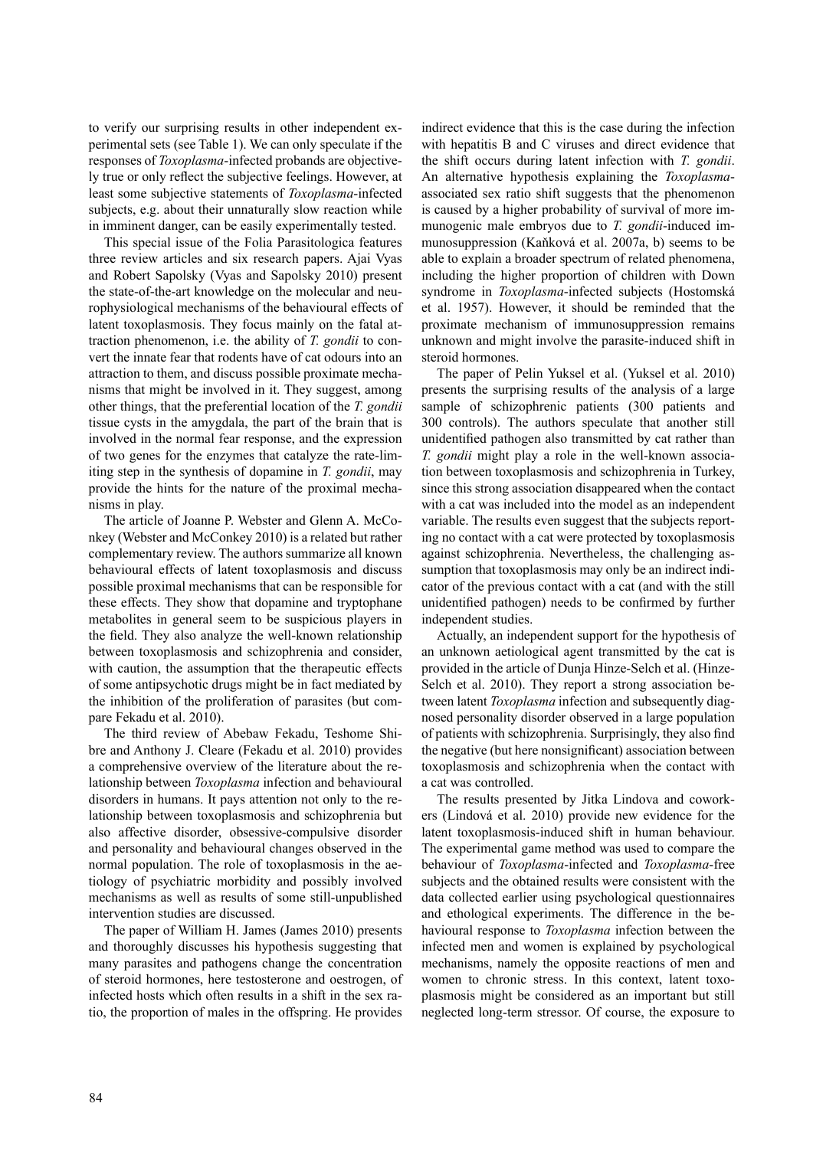to verify our surprising results in other independent experimental sets (see Table 1). We can only speculate if the responses of *Toxoplasma*-infected probands are objectively true or only reflect the subjective feelings. However, at least some subjective statements of *Toxoplasma*-infected subjects, e.g. about their unnaturally slow reaction while in imminent danger, can be easily experimentally tested.

This special issue of the Folia Parasitologica features three review articles and six research papers. Ajai Vyas and Robert Sapolsky (Vyas and Sapolsky 2010) present the state-of-the-art knowledge on the molecular and neurophysiological mechanisms of the behavioural effects of latent toxoplasmosis. They focus mainly on the fatal attraction phenomenon, i.e. the ability of *T. gondii* to convert the innate fear that rodents have of cat odours into an attraction to them, and discuss possible proximate mechanisms that might be involved in it. They suggest, among other things, that the preferential location of the *T. gondii* tissue cysts in the amygdala, the part of the brain that is involved in the normal fear response, and the expression of two genes for the enzymes that catalyze the rate-limiting step in the synthesis of dopamine in *T. gondii*, may provide the hints for the nature of the proximal mechanisms in play.

The article of Joanne P. Webster and Glenn A. McConkey (Webster and McConkey 2010) is a related but rather complementary review. The authors summarize all known behavioural effects of latent toxoplasmosis and discuss possible proximal mechanisms that can be responsible for these effects. They show that dopamine and tryptophane metabolites in general seem to be suspicious players in the field. They also analyze the well-known relationship between toxoplasmosis and schizophrenia and consider, with caution, the assumption that the therapeutic effects of some antipsychotic drugs might be in fact mediated by the inhibition of the proliferation of parasites (but compare Fekadu et al. 2010).

The third review of Abebaw Fekadu, Teshome Shibre and Anthony J. Cleare (Fekadu et al. 2010) provides a comprehensive overview of the literature about the relationship between *Toxoplasma* infection and behavioural disorders in humans. It pays attention not only to the relationship between toxoplasmosis and schizophrenia but also affective disorder, obsessive-compulsive disorder and personality and behavioural changes observed in the normal population. The role of toxoplasmosis in the aetiology of psychiatric morbidity and possibly involved mechanisms as well as results of some still-unpublished intervention studies are discussed.

The paper of William H. James (James 2010) presents and thoroughly discusses his hypothesis suggesting that many parasites and pathogens change the concentration of steroid hormones, here testosterone and oestrogen, of infected hosts which often results in a shift in the sex ratio, the proportion of males in the offspring. He provides indirect evidence that this is the case during the infection with hepatitis B and C viruses and direct evidence that the shift occurs during latent infection with *T. gondii*. An alternative hypothesis explaining the *Toxoplasma*associated sex ratio shift suggests that the phenomenon is caused by a higher probability of survival of more immunogenic male embryos due to *T. gondii*-induced immunosuppression (Kaňková et al. 2007a, b) seems to be able to explain a broader spectrum of related phenomena, including the higher proportion of children with Down syndrome in *Toxoplasma*-infected subjects (Hostomská et al. 1957). However, it should be reminded that the proximate mechanism of immunosuppression remains unknown and might involve the parasite-induced shift in steroid hormones.

The paper of Pelin Yuksel et al. (Yuksel et al. 2010) presents the surprising results of the analysis of a large sample of schizophrenic patients (300 patients and 300 controls). The authors speculate that another still unidentified pathogen also transmitted by cat rather than *T. gondii* might play a role in the well-known association between toxoplasmosis and schizophrenia in Turkey, since this strong association disappeared when the contact with a cat was included into the model as an independent variable. The results even suggest that the subjects reporting no contact with a cat were protected by toxoplasmosis against schizophrenia. Nevertheless, the challenging assumption that toxoplasmosis may only be an indirect indicator of the previous contact with a cat (and with the still unidentified pathogen) needs to be confirmed by further independent studies.

Actually, an independent support for the hypothesis of an unknown aetiological agent transmitted by the cat is provided in the article of Dunja Hinze-Selch et al. (Hinze-Selch et al. 2010). They report a strong association between latent *Toxoplasma* infection and subsequently diagnosed personality disorder observed in a large population of patients with schizophrenia. Surprisingly, they also find the negative (but here nonsignificant) association between toxoplasmosis and schizophrenia when the contact with a cat was controlled.

The results presented by Jitka Lindova and coworkers (Lindová et al. 2010) provide new evidence for the latent toxoplasmosis-induced shift in human behaviour. The experimental game method was used to compare the behaviour of *Toxoplasma*-infected and *Toxoplasma*-free subjects and the obtained results were consistent with the data collected earlier using psychological questionnaires and ethological experiments. The difference in the behavioural response to *Toxoplasma* infection between the infected men and women is explained by psychological mechanisms, namely the opposite reactions of men and women to chronic stress. In this context, latent toxoplasmosis might be considered as an important but still neglected long-term stressor. Of course, the exposure to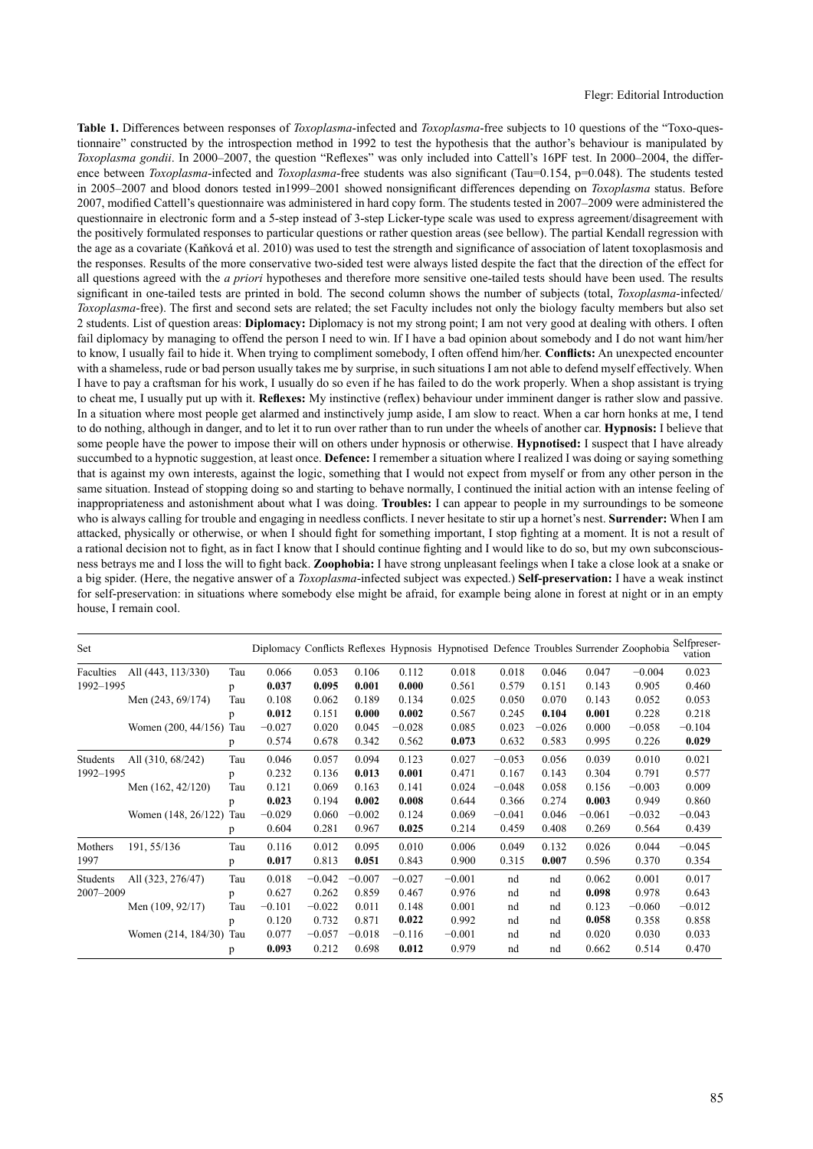**Table 1.** Differences between responses of *Toxoplasma*-infected and *Toxoplasma*-free subjects to 10 questions of the "Toxo-questionnaire" constructed by the introspection method in 1992 to test the hypothesis that the author's behaviour is manipulated by *Toxoplasma gondii*. In 2000–2007, the question "Reflexes" was only included into Cattell's 16PF test. In 2000–2004, the difference between *Toxoplasma*-infected and *Toxoplasma*-free students was also significant (Tau=0.154, p=0.048). The students tested in 2005–2007 and blood donors tested in1999–2001 showed nonsignificant differences depending on *Toxoplasma* status. Before 2007, modified Cattell's questionnaire was administered in hard copy form. The students tested in 2007–2009 were administered the questionnaire in electronic form and a 5-step instead of 3-step Licker-type scale was used to express agreement/disagreement with the positively formulated responses to particular questions or rather question areas (see bellow). The partial Kendall regression with the age as a covariate (Kaňková et al. 2010) was used to test the strength and significance of association of latent toxoplasmosis and the responses. Results of the more conservative two-sided test were always listed despite the fact that the direction of the effect for all questions agreed with the *a priori* hypotheses and therefore more sensitive one-tailed tests should have been used. The results significant in one-tailed tests are printed in bold. The second column shows the number of subjects (total, *Toxoplasma*-infected/ *Toxoplasma*-free). The first and second sets are related; the set Faculty includes not only the biology faculty members but also set 2 students. List of question areas: **Diplomacy:** Diplomacy is not my strong point; I am not very good at dealing with others. I often fail diplomacy by managing to offend the person I need to win. If I have a bad opinion about somebody and I do not want him/her to know, I usually fail to hide it. When trying to compliment somebody, I often offend him/her. **Conflicts:** An unexpected encounter with a shameless, rude or bad person usually takes me by surprise, in such situations I am not able to defend myself effectively. When I have to pay a craftsman for his work, I usually do so even if he has failed to do the work properly. When a shop assistant is trying to cheat me, I usually put up with it. **Reflexes:** My instinctive (reflex) behaviour under imminent danger is rather slow and passive. In a situation where most people get alarmed and instinctively jump aside, I am slow to react. When a car horn honks at me, I tend to do nothing, although in danger, and to let it to run over rather than to run under the wheels of another car. **Hypnosis:** I believe that some people have the power to impose their will on others under hypnosis or otherwise. **Hypnotised:** I suspect that I have already succumbed to a hypnotic suggestion, at least once. **Defence:** I remember a situation where I realized I was doing or saying something that is against my own interests, against the logic, something that I would not expect from myself or from any other person in the same situation. Instead of stopping doing so and starting to behave normally, I continued the initial action with an intense feeling of inappropriateness and astonishment about what I was doing. **Troubles:** I can appear to people in my surroundings to be someone who is always calling for trouble and engaging in needless conflicts. I never hesitate to stir up a hornet's nest. **Surrender:** When I am attacked, physically or otherwise, or when I should fight for something important, I stop fighting at a moment. It is not a result of a rational decision not to fight, as in fact I know that I should continue fighting and I would like to do so, but my own subconsciousness betrays me and I loss the will to fight back. **Zoophobia:** I have strong unpleasant feelings when I take a close look at a snake or a big spider. (Here, the negative answer of a *Toxoplasma*-infected subject was expected.) **Self-preservation:** I have a weak instinct for self-preservation: in situations where somebody else might be afraid, for example being alone in forest at night or in an empty house, I remain cool.

| Set                   |                     |     |          |          |          |          | Diplomacy Conflicts Reflexes Hypnosis Hypnotised Defence Troubles Surrender Zoophobia |          |          |          |          | Selfpreser-<br>vation |
|-----------------------|---------------------|-----|----------|----------|----------|----------|---------------------------------------------------------------------------------------|----------|----------|----------|----------|-----------------------|
| Faculties             | All (443, 113/330)  | Tau | 0.066    | 0.053    | 0.106    | 0.112    | 0.018                                                                                 | 0.018    | 0.046    | 0.047    | $-0.004$ | 0.023                 |
| 1992-1995             |                     | p   | 0.037    | 0.095    | 0.001    | 0.000    | 0.561                                                                                 | 0.579    | 0.151    | 0.143    | 0.905    | 0.460                 |
|                       | Men (243, 69/174)   | Tau | 0.108    | 0.062    | 0.189    | 0.134    | 0.025                                                                                 | 0.050    | 0.070    | 0.143    | 0.052    | 0.053                 |
|                       |                     | p   | 0.012    | 0.151    | 0.000    | 0.002    | 0.567                                                                                 | 0.245    | 0.104    | 0.001    | 0.228    | 0.218                 |
|                       | Women (200, 44/156) | Tau | $-0.027$ | 0.020    | 0.045    | $-0.028$ | 0.085                                                                                 | 0.023    | $-0.026$ | 0.000    | $-0.058$ | $-0.104$              |
|                       |                     | p   | 0.574    | 0.678    | 0.342    | 0.562    | 0.073                                                                                 | 0.632    | 0.583    | 0.995    | 0.226    | 0.029                 |
| Students<br>1992-1995 | All (310, 68/242)   | Tau | 0.046    | 0.057    | 0.094    | 0.123    | 0.027                                                                                 | $-0.053$ | 0.056    | 0.039    | 0.010    | 0.021                 |
|                       |                     | p   | 0.232    | 0.136    | 0.013    | 0.001    | 0.471                                                                                 | 0.167    | 0.143    | 0.304    | 0.791    | 0.577                 |
|                       | Men (162, 42/120)   | Tau | 0.121    | 0.069    | 0.163    | 0.141    | 0.024                                                                                 | $-0.048$ | 0.058    | 0.156    | $-0.003$ | 0.009                 |
|                       |                     | p   | 0.023    | 0.194    | 0.002    | 0.008    | 0.644                                                                                 | 0.366    | 0.274    | 0.003    | 0.949    | 0.860                 |
|                       | Women (148, 26/122) | Tau | $-0.029$ | 0.060    | $-0.002$ | 0.124    | 0.069                                                                                 | $-0.041$ | 0.046    | $-0.061$ | $-0.032$ | $-0.043$              |
|                       |                     | p   | 0.604    | 0.281    | 0.967    | 0.025    | 0.214                                                                                 | 0.459    | 0.408    | 0.269    | 0.564    | 0.439                 |
| Mothers<br>1997       | 191, 55/136         | Tau | 0.116    | 0.012    | 0.095    | 0.010    | 0.006                                                                                 | 0.049    | 0.132    | 0.026    | 0.044    | $-0.045$              |
|                       |                     | p   | 0.017    | 0.813    | 0.051    | 0.843    | 0.900                                                                                 | 0.315    | 0.007    | 0.596    | 0.370    | 0.354                 |
| Students<br>2007-2009 | All (323, 276/47)   | Tau | 0.018    | $-0.042$ | $-0.007$ | $-0.027$ | $-0.001$                                                                              | nd       | nd       | 0.062    | 0.001    | 0.017                 |
|                       |                     | p   | 0.627    | 0.262    | 0.859    | 0.467    | 0.976                                                                                 | nd       | nd       | 0.098    | 0.978    | 0.643                 |
|                       | Men (109, 92/17)    | Tau | $-0.101$ | $-0.022$ | 0.011    | 0.148    | 0.001                                                                                 | nd       | nd       | 0.123    | $-0.060$ | $-0.012$              |
|                       |                     | p   | 0.120    | 0.732    | 0.871    | 0.022    | 0.992                                                                                 | nd       | nd       | 0.058    | 0.358    | 0.858                 |
|                       | Women (214, 184/30) | Tau | 0.077    | $-0.057$ | $-0.018$ | $-0.116$ | $-0.001$                                                                              | nd       | nd       | 0.020    | 0.030    | 0.033                 |
|                       |                     | p   | 0.093    | 0.212    | 0.698    | 0.012    | 0.979                                                                                 | nd       | nd       | 0.662    | 0.514    | 0.470                 |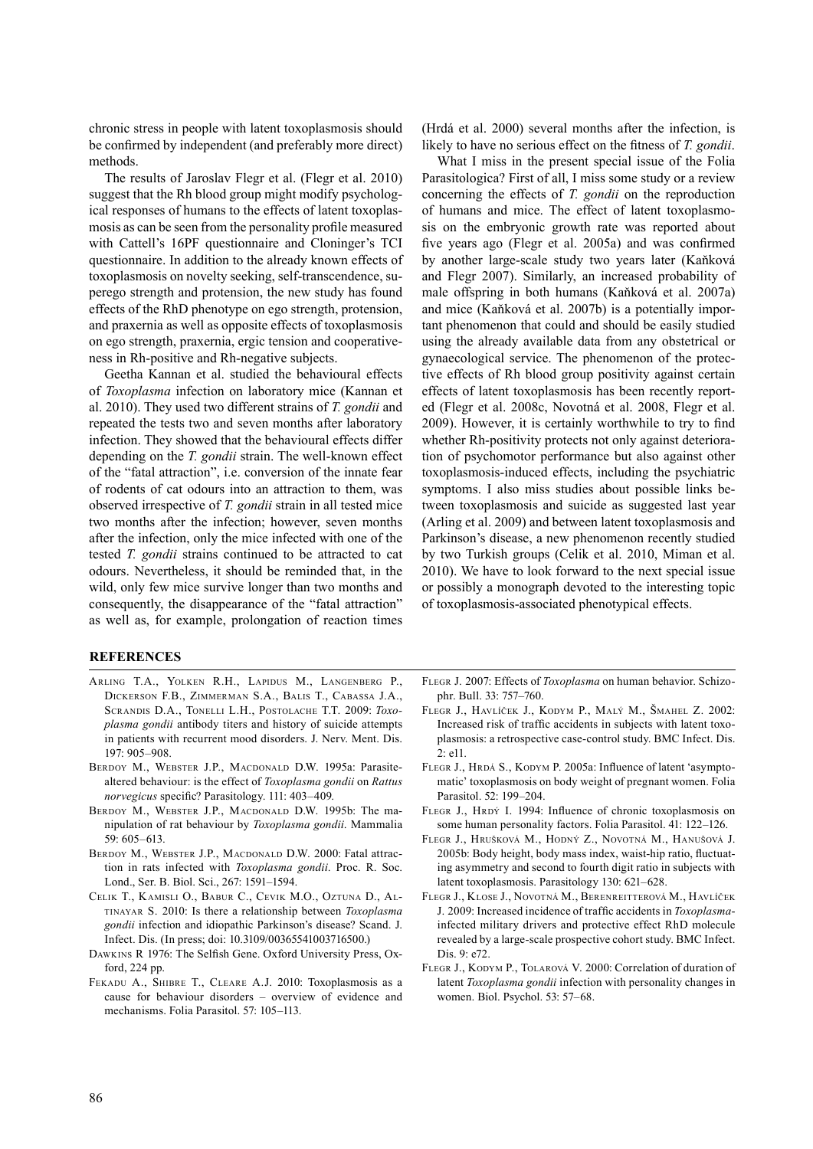chronic stress in people with latent toxoplasmosis should be confirmed by independent (and preferably more direct) methods.

The results of Jaroslav Flegr et al. (Flegr et al. 2010) suggest that the Rh blood group might modify psychological responses of humans to the effects of latent toxoplasmosis as can be seen from the personality profile measured with Cattell's 16PF questionnaire and Cloninger's TCI questionnaire. In addition to the already known effects of toxoplasmosis on novelty seeking, self-transcendence, superego strength and protension, the new study has found effects of the RhD phenotype on ego strength, protension, and praxernia as well as opposite effects of toxoplasmosis on ego strength, praxernia, ergic tension and cooperativeness in Rh-positive and Rh-negative subjects.

Geetha Kannan et al. studied the behavioural effects of *Toxoplasma* infection on laboratory mice (Kannan et al. 2010). They used two different strains of *T. gondii* and repeated the tests two and seven months after laboratory infection. They showed that the behavioural effects differ depending on the *T. gondii* strain. The well-known effect of the "fatal attraction", i.e. conversion of the innate fear of rodents of cat odours into an attraction to them, was observed irrespective of *T. gondii* strain in all tested mice two months after the infection; however, seven months after the infection, only the mice infected with one of the tested *T. gondii* strains continued to be attracted to cat odours. Nevertheless, it should be reminded that, in the wild, only few mice survive longer than two months and consequently, the disappearance of the "fatal attraction" as well as, for example, prolongation of reaction times

(Hrdá et al. 2000) several months after the infection, is likely to have no serious effect on the fitness of *T. gondii*.

What I miss in the present special issue of the Folia Parasitologica? First of all, I miss some study or a review concerning the effects of *T. gondii* on the reproduction of humans and mice. The effect of latent toxoplasmosis on the embryonic growth rate was reported about five years ago (Flegr et al. 2005a) and was confirmed by another large-scale study two years later (Kaňková and Flegr 2007). Similarly, an increased probability of male offspring in both humans (Kaňková et al. 2007a) and mice (Kaňková et al. 2007b) is a potentially important phenomenon that could and should be easily studied using the already available data from any obstetrical or gynaecological service. The phenomenon of the protective effects of Rh blood group positivity against certain effects of latent toxoplasmosis has been recently reported (Flegr et al. 2008c, Novotná et al. 2008, Flegr et al. 2009). However, it is certainly worthwhile to try to find whether Rh-positivity protects not only against deterioration of psychomotor performance but also against other toxoplasmosis-induced effects, including the psychiatric symptoms. I also miss studies about possible links between toxoplasmosis and suicide as suggested last year (Arling et al. 2009) and between latent toxoplasmosis and Parkinson's disease, a new phenomenon recently studied by two Turkish groups (Celik et al. 2010, Miman et al. 2010). We have to look forward to the next special issue or possibly a monograph devoted to the interesting topic of toxoplasmosis-associated phenotypical effects.

## **REFERENCES**

- Arling T.A., Yolken R.H., Lapidus M., Langenberg P., Dickerson F.B., Zimmerman S.A., Balis T., Cabassa J.A., Scrandis D.A., Tonelli L.H., Postolache T.T. 2009: *Toxoplasma gondii* antibody titers and history of suicide attempts in patients with recurrent mood disorders. J. Nerv. Ment. Dis. 197: 905–908.
- Berdoy M., Webster J.P., Macdonald D.W. 1995a: Parasitealtered behaviour: is the effect of *Toxoplasma gondii* on *Rattus norvegicus* specific? Parasitology. 111: 403–409.
- Berdoy M., Webster J.P., Macdonald D.W. 1995b: The manipulation of rat behaviour by *Toxoplasma gondii*. Mammalia 59: 605–613.
- BERDOY M., WEBSTER J.P., MACDONALD D.W. 2000: Fatal attraction in rats infected with *Toxoplasma gondii*. Proc. R. Soc. Lond., Ser. B. Biol. Sci., 267: 1591–1594.
- Celik T., Kamisli O., Babur C., Cevik M.O., Oztuna D., Altinayar S. 2010: Is there a relationship between *Toxoplasma gondii* infection and idiopathic Parkinson's disease? Scand. J. Infect. Dis. (In press; doi: 10.3109/00365541003716500.)
- Dawkins R 1976: The Selfish Gene. Oxford University Press, Oxford, 224 pp.
- Fekadu A., Shibre T., Cleare A.J. 2010: Toxoplasmosis as a cause for behaviour disorders – overview of evidence and mechanisms. Folia Parasitol. 57: 105–113.
- Flegr J. 2007: Effects of *Toxoplasma* on human behavior. Schizophr. Bull. 33: 757–760.
- Flegr J., Havlíček J., Kodym P., Malý M., Šmahel Z. 2002: Increased risk of traffic accidents in subjects with latent toxoplasmosis: a retrospective case-control study. BMC Infect. Dis. 2: e11.
- FLEGR J., HRDÁ S., KODYM P. 2005a: Influence of latent 'asymptomatic' toxoplasmosis on body weight of pregnant women. Folia Parasitol. 52: 199–204.
- FLEGR J., HRDÝ I. 1994: Influence of chronic toxoplasmosis on some human personality factors. Folia Parasitol. 41: 122–126.
- Flegr J., Hrušková M., Hodný Z., Novotná M., Hanušová J. 2005b: Body height, body mass index, waist-hip ratio, fluctuating asymmetry and second to fourth digit ratio in subjects with latent toxoplasmosis. Parasitology 130: 621–628.
- Flegr J., Klose J., Novotná M., Berenreitterová M., Havlíček J. 2009: Increased incidence of traffic accidents in *Toxoplasma*infected military drivers and protective effect RhD molecule revealed by a large-scale prospective cohort study. BMC Infect. Dis. 9: e72.
- FLEGR J., KODYM P., TOLAROVÁ V. 2000: Correlation of duration of latent *Toxoplasma gondii* infection with personality changes in women. Biol. Psychol. 53: 57–68.